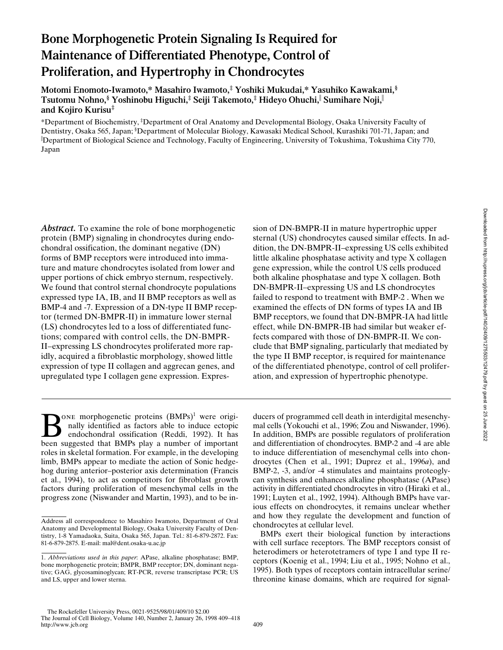# **Bone Morphogenetic Protein Signaling Is Required for Maintenance of Differentiated Phenotype, Control of Proliferation, and Hypertrophy in Chondrocytes**

**Motomi Enomoto-Iwamoto,\* Masahiro Iwamoto,‡ Yoshiki Mukudai,\* Yasuhiko Kawakami,§ Tsutomu Nohno,§ Yoshinobu Higuchi,‡ Seiji Takemoto,‡ Hideyo Ohuchi,**<sup>i</sup>  **Sumihare Noji,**<sup>i</sup> **and Kojiro Kurisu‡**

\*Department of Biochemistry, ‡ Department of Oral Anatomy and Developmental Biology, Osaka University Faculty of Dentistry, Osaka 565, Japan; <sup>§</sup>Department of Molecular Biology, Kawasaki Medical School, Kurashiki 701-71, Japan; and i Department of Biological Science and Technology, Faculty of Engineering, University of Tokushima, Tokushima City 770, Japan

*Abstract.* To examine the role of bone morphogenetic protein (BMP) signaling in chondrocytes during endochondral ossification, the dominant negative (DN) forms of BMP receptors were introduced into immature and mature chondrocytes isolated from lower and upper portions of chick embryo sternum, respectively. We found that control sternal chondrocyte populations expressed type IA, IB, and II BMP receptors as well as BMP-4 and -7. Expression of a DN-type II BMP receptor (termed DN-BMPR-II) in immature lower sternal (LS) chondrocytes led to a loss of differentiated functions; compared with control cells, the DN-BMPR-II–expressing LS chondrocytes proliferated more rapidly, acquired a fibroblastic morphology, showed little expression of type II collagen and aggrecan genes, and upregulated type I collagen gene expression. Expres-

**BONE morphogenetic proteins (BMPs)<sup>1</sup> were originally identified as factors able to induce ectopic endochondral ossification (Reddi, 1992). It has been suggested that BMPs play a number of important** nally identified as factors able to induce ectopic endochondral ossification (Reddi, 1992). It has been suggested that BMPs play a number of important roles in skeletal formation. For example, in the developing limb, BMPs appear to mediate the action of Sonic hedgehog during anterior–posterior axis determination (Francis et al., 1994), to act as competitors for fibroblast growth factors during proliferation of mesenchymal cells in the progress zone (Niswander and Martin, 1993), and to be insion of DN-BMPR-II in mature hypertrophic upper sternal (US) chondrocytes caused similar effects. In addition, the DN-BMPR-II–expressing US cells exhibited little alkaline phosphatase activity and type X collagen gene expression, while the control US cells produced both alkaline phosphatase and type X collagen. Both DN-BMPR-II–expressing US and LS chondrocytes failed to respond to treatment with BMP-2 . When we examined the effects of DN forms of types IA and IB BMP receptors, we found that DN-BMPR-IA had little effect, while DN-BMPR-IB had similar but weaker effects compared with those of DN-BMPR-II. We conclude that BMP signaling, particularly that mediated by the type II BMP receptor, is required for maintenance of the differentiated phenotype, control of cell proliferation, and expression of hypertrophic phenotype.

ducers of programmed cell death in interdigital mesenchymal cells (Yokouchi et al., 1996; Zou and Niswander, 1996). In addition, BMPs are possible regulators of proliferation and differentiation of chondrocytes. BMP-2 and -4 are able to induce differentiation of mesenchymal cells into chondrocytes (Chen et al., 1991; Duprez et al., 1996*a*), and BMP-2, -3, and/or -4 stimulates and maintains proteoglycan synthesis and enhances alkaline phosphatase (APase) activity in differentiated chondrocytes in vitro (Hiraki et al., 1991; Luyten et al., 1992, 1994). Although BMPs have various effects on chondrocytes, it remains unclear whether and how they regulate the development and function of chondrocytes at cellular level.

BMPs exert their biological function by interactions with cell surface receptors. The BMP receptors consist of heterodimers or heterotetramers of type I and type II receptors (Koenig et al., 1994; Liu et al., 1995; Nohno et al., 1995). Both types of receptors contain intracellular serine/ threonine kinase domains, which are required for signal-

Address all correspondence to Masahiro Iwamoto, Department of Oral Anatomy and Developmental Biology, Osaka University Faculty of Dentistry, 1-8 Yamadaoka, Suita, Osaka 565, Japan. Tel.: 81-6-879-2872. Fax: 81-6-879-2875. E-mail: mal@dent.osaka-u.ac.jp

<sup>1.</sup> *Abbreviations used in this paper*: APase, alkaline phosphatase; BMP, bone morphogenetic protein; BMPR, BMP receptor; DN, dominant negative; GAG, glycosaminoglycan; RT-PCR, reverse transcriptase PCR; US and LS, upper and lower sterna.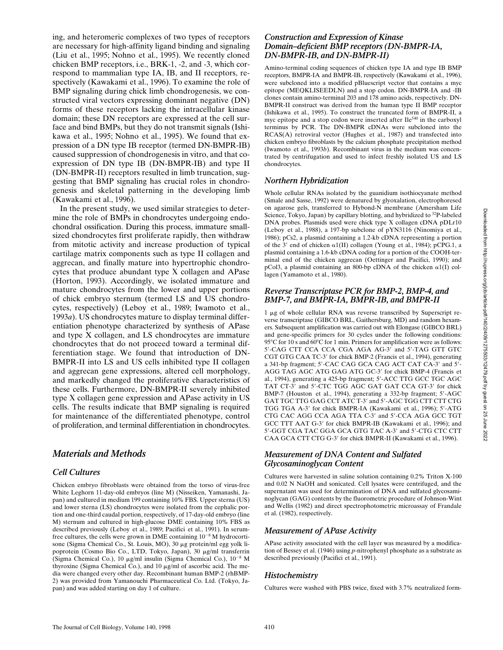ing, and heteromeric complexes of two types of receptors are necessary for high-affinity ligand binding and signaling (Liu et al., 1995; Nohno et al., 1995). We recently cloned chicken BMP receptors, i.e., BRK-1, -2, and -3, which correspond to mammalian type IA, IB, and II receptors, respectively (Kawakami et al., 1996). To examine the role of BMP signaling during chick limb chondrogenesis, we constructed viral vectors expressing dominant negative (DN) forms of these receptors lacking the intracellular kinase domain; these DN receptors are expressed at the cell surface and bind BMPs, but they do not transmit signals (Ishikawa et al., 1995; Nohno et al., 1995). We found that expression of a DN type IB receptor (termed DN-BMPR-IB) caused suppression of chondrogenesis in vitro, and that coexpression of DN type IB (DN-BMPR-IB) and type II (DN-BMPR-II) receptors resulted in limb truncation, suggesting that BMP signaling has crucial roles in chondrogenesis and skeletal patterning in the developing limb (Kawakami et al., 1996).

In the present study, we used similar strategies to determine the role of BMPs in chondrocytes undergoing endochondral ossification. During this process, immature smallsized chondrocytes first proliferate rapidly, then withdraw from mitotic activity and increase production of typical cartilage matrix components such as type II collagen and aggrecan, and finally mature into hypertrophic chondrocytes that produce abundant type X collagen and APase (Horton, 1993). Accordingly, we isolated immature and mature chondrocytes from the lower and upper portions of chick embryo sternum (termed LS and US chondrocytes, respectively) (Leboy et al., 1989; Iwamoto et al., 1993*a*). US chondrocytes mature to display terminal differentiation phenotype characterized by synthesis of APase and type X collagen, and LS chondrocytes are immature chondrocytes that do not proceed toward a terminal differentiation stage. We found that introduction of DN-BMPR-II into LS and US cells inhibited type II collagen and aggrecan gene expressions, altered cell morphology, and markedly changed the proliferative characteristics of these cells. Furthermore, DN-BMPR-II severely inhibited type X collagen gene expression and APase activity in US cells. The results indicate that BMP signaling is required for maintenance of the differentiated phenotype, control of proliferation, and terminal differentiation in chondrocytes.

# *Materials and Methods*

# *Cell Cultures*

Chicken embryo fibroblasts were obtained from the torso of virus-free White Leghorn 11-day-old embryos (line M) (Nisseiken, Yamanashi, Japan) and cultured in medium 199 containing 10% FBS. Upper sterna (US) and lower sterna (LS) chondrocytes were isolated from the cephalic portion and one-third caudal portion, respectively, of 17-day-old embryo (line M) sternum and cultured in high-glucose DME containing 10% FBS as described previously (Leboy et al., 1989; Pacifici et al., 1991). In serumfree cultures, the cells were grown in DME containing  $10^{-8}$  M hydrocortisone (Sigma Chemical Co., St. Louis, MO), 30 µg protein/ml egg yolk lipoprotein (Cosmo Bio Co., LTD, Tokyo, Japan), 30 µg/ml transferrin (Sigma Chemical Co.), 10  $\mu$ g/ml insulin (Sigma Chemical Co.), 10<sup>-8</sup> M thyroxine (Sigma Chemical Co.), and  $10 \mu g/ml$  of ascorbic acid. The media were changed every other day. Recombinant human BMP-2 (rhBMP-2) was provided from Yamanouchi Pharmaceutical Co. Ltd. (Tokyo, Japan) and was added starting on day 1 of culture.

## *Construction and Expression of Kinase Domain–deficient BMP receptors (DN-BMPR-IA, DN-BMPR-IB, and DN-BMPR-II)*

Amino-terminal coding sequences of chicken type IA and type IB BMP receptors, BMPR-IA and BMPR-IB, respectively (Kawakami et al., 1996), were subcloned into a modified pBluescript vector that contains a myc epitope (MEQKLISEEDLN) and a stop codon. DN-BMPR-IA and -IB clones contain amino-terminal 203 and 178 amino acids, respectively. DN-BMPR-II construct was derived from the human type II BMP receptor (Ishikawa et al., 1995). To construct the truncated form of BMPR-II, a myc epitope and a stop codon were inserted after Ile540 in the carboxyl terminus by PCR. The DN-BMPR cDNAs were subcloned into the RCAS(A) retroviral vector (Hughes et al., 1987) and transfected into chicken embryo fibroblasts by the calcium phosphate precipitation method (Iwamoto et al., 1993*b*). Recombinant virus in the medium was concentrated by centrifugation and used to infect freshly isolated US and LS chondrocytes.

# *Northern Hybridization*

Whole cellular RNAs isolated by the guanidium isothiocyanate method (Smale and Sasse, 1992) were denatured by glyoxalation, electrophoresed on agarose gels, transferred to Hybond-N membrane (Amersham Life Science, Tokyo, Japan) by capillary blotting, and hybridized to <sup>32</sup>P-labeled DNA probes. Plasmids used were chick type X collagen cDNA pDLr10 (Leboy et al., 1988), a 197-bp subclone of pYN3116 (Ninomiya et al., 1986); pCs2, a plasmid containing a 1.2-kb cDNA representing a portion of the 3' end of chicken  $\alpha1(II)$  collagen (Young et al., 1984); pCPG.1, a plasmid containing a 1.6-kb cDNA coding for a portion of the COOH-terminal end of the chicken aggrecan (Oettinger and Pacifici, 1990); and pCol3, a plasmid containing an 800-bp cDNA of the chicken  $\alpha$ 1(I) collagen (Yamamoto et al., 1980).

## *Reverse Transcriptase PCR for BMP-2, BMP-4, and BMP-7, and BMPR-IA, BMPR-IB, and BMPR-II*

 $1 \mu$ g of whole cellular RNA was reverse transcribed by Superscript reverse transcriptase (GIBCO BRL, Gaithersburg, MD) and random hexamers. Subsequent amplification was carried out with Elongase (GIBCO BRL) and gene-specific primers for 30 cycles under the following conditions: 95°C for 10 s and 60°C for 1 min. Primers for amplification were as follows: 5'-CAG CTT CCA CCA CGA AGA AG-3' and 5'-TAG GTT GTC CGT GTG CAA TC-3' for chick BMP-2 (Francis et al., 1994), generating a 341-bp fragment; 5'-CAC CAG GCA CAG ACT CAT CA-3' and 5'-AGG TAG AGC ATG GAG ATG GC-3' for chick BMP-4 (Francis et al., 1994), generating a 425-bp fragment; 5'-ACC TTG GCC TGC AGC TAT CT-3' and 5'-CTC TGG AGC GAT GAT CCA GT-3' for chick BMP-7 (Houston et al., 1994), generating a 332-bp fragment; 5'-AGC GAT TGC TTG GAG CCT ATC T-3' and 5'-AGC TGG CTT CTT CTG TGG TGA A-3' for chick BMPR-IA (Kawakami et al., 1996); 5'-ATG CTG CAC AGG CCA AGA TTA C-3' and 5'-CCA AGA GCC TGT GCC TTT AAT G-3' for chick BMPR-IB (Kawakami et al., 1996); and 5'-GGT CGA TAC GGA GCA GTG TAC A-3' and 5'-CTG CTC CTT CAA GCA CTT CTG G-3' for chick BMPR-II (Kawakami et al., 1996).

## *Measurement of DNA Content and Sulfated Glycosaminoglycan Content*

Cultures were harvested in saline solution containing 0.2% Triton X-100 and 0.02 N NaOH and sonicated. Cell lysates were centrifuged, and the supernatant was used for determination of DNA and sulfated glycosaminoglycan (GAG) contents by the fluorometric procedure of Johnson-Wint and Wellis (1982) and direct spectrophotometric microassay of Frandale et al. (1982), respectively.

# *Measurement of APase Activity*

APase activity associated with the cell layer was measured by a modification of Bessey et al. (1946) using *p*-nitrophenyl phosphate as a substrate as described previously (Pacifici et al., 1991).

# *Histochemistry*

Cultures were washed with PBS twice, fixed with 3.7% neutralized form-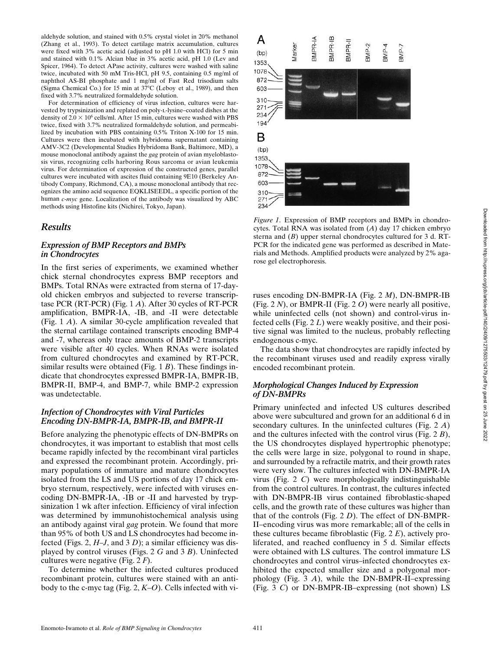aldehyde solution, and stained with 0.5% crystal violet in 20% methanol (Zhang et al., 1993). To detect cartilage matrix accumulation, cultures were fixed with 3% acetic acid (adjusted to pH 1.0 with HCl) for 5 min and stained with 0.1% Alcian blue in 3% acetic acid, pH 1.0 (Lev and Spicer, 1964). To detect APase activity, cultures were washed with saline twice, incubated with 50 mM Tris-HCl, pH 9.5, containing 0.5 mg/ml of naphthol AS-BI phosphate and 1 mg/ml of Fast Red trisodium salts (Sigma Chemical Co.) for 15 min at 37°C (Leboy et al., 1989), and then fixed with 3.7% neutralized formaldehyde solution.

For determination of efficiency of virus infection, cultures were harvested by trypsinization and replated on poly-l-lysine–coated dishes at the density of  $2.0 \times 10^6$  cells/ml. After 15 min, cultures were washed with PBS twice, fixed with 3.7% neutralized formaldehyde solution, and permeabilized by incubation with PBS containing 0.5% Triton X-100 for 15 min. Cultures were then incubated with hybridoma supernatant containing AMV-3C2 (Developmental Studies Hybridoma Bank, Baltimore, MD), a mouse monoclonal antibody against the *gag* protein of avian myeloblastosis virus, recognizing cells harboring Rous sarcoma or avian leukemia virus. For determination of expression of the constructed genes, parallel cultures were incubated with ascites fluid containing 9E10 (Berkeley Antibody Company, Richmond, CA), a mouse monoclonal antibody that recognizes the amino acid sequence EQKLISEEDL, a specific portion of the human *c-myc* gene. Localization of the antibody was visualized by ABC methods using Histofine kits (Nichirei, Tokyo, Japan).

## *Results*

#### *Expression of BMP Receptors and BMPs in Chondrocytes*

In the first series of experiments, we examined whether chick sternal chondrocytes express BMP receptors and BMPs. Total RNAs were extracted from sterna of 17-dayold chicken embryos and subjected to reverse transcriptase PCR (RT-PCR) (Fig. 1 *A*). After 30 cycles of RT-PCR amplification, BMPR-IA, -IB, and -II were detectable (Fig. 1 *A*). A similar 30-cycle amplification revealed that the sternal cartilage contained transcripts encoding BMP-4 and -7, whereas only trace amounts of BMP-2 transcripts were visible after 40 cycles. When RNAs were isolated from cultured chondrocytes and examined by RT-PCR, similar results were obtained (Fig. 1 *B*). These findings indicate that chondrocytes expressed BMPR-IA, BMPR-IB, BMPR-II, BMP-4, and BMP-7, while BMP-2 expression was undetectable.

## *Infection of Chondrocytes with Viral Particles Encoding DN-BMPR-IA, BMPR-IB, and BMPR-II*

Before analyzing the phenotypic effects of DN-BMPRs on chondrocytes, it was important to establish that most cells became rapidly infected by the recombinant viral particles and expressed the recombinant protein. Accordingly, primary populations of immature and mature chondrocytes isolated from the LS and US portions of day 17 chick embryo sternum, respectively, were infected with viruses encoding DN-BMPR-IA, -IB or -II and harvested by trypsinization 1 wk after infection. Efficiency of viral infection was determined by immunohistochemical analysis using an antibody against viral *gag* protein. We found that more than 95% of both US and LS chondrocytes had become infected (Figs. 2, *H*–*J*, and 3 *D*); a similar efficiency was displayed by control viruses (Figs. 2 *G* and 3 *B*). Uninfected cultures were negative (Fig. 2 *F*).

To determine whether the infected cultures produced recombinant protein, cultures were stained with an antibody to the c-myc tag (Fig. 2, *K*–*O*). Cells infected with vi-



*Figure 1*. Expression of BMP receptors and BMPs in chondrocytes. Total RNA was isolated from (*A*) day 17 chicken embryo sterna and (*B*) upper sternal chondrocytes cultured for 3 d. RT-PCR for the indicated gene was performed as described in Materials and Methods. Amplified products were analyzed by 2% agarose gel electrophoresis.

ruses encoding DN-BMPR-IA (Fig. 2 *M*), DN-BMPR-IB (Fig. 2 *N*), or BMPR-II (Fig. 2 *O*) were nearly all positive, while uninfected cells (not shown) and control-virus infected cells (Fig. 2 *L*) were weakly positive, and their positive signal was limited to the nucleus, probably reflecting endogenous c-myc.

The data show that chondrocytes are rapidly infected by the recombinant viruses used and readily express virally encoded recombinant protein.

## *Morphological Changes Induced by Expression of DN-BMPRs*

Primary uninfected and infected US cultures described above were subcultured and grown for an additional 6 d in secondary cultures. In the uninfected cultures (Fig. 2 *A*) and the cultures infected with the control virus (Fig. 2 *B*), the US chondrocytes displayed hypertrophic phenotype; the cells were large in size, polygonal to round in shape, and surrounded by a refractile matrix, and their growth rates were very slow. The cultures infected with DN-BMPR-IA virus (Fig. 2 *C*) were morphologically indistinguishable from the control cultures. In contrast, the cultures infected with DN-BMPR-IB virus contained fibroblastic-shaped cells, and the growth rate of these cultures was higher than that of the controls (Fig. 2 *D*). The effect of DN-BMPR-II–encoding virus was more remarkable; all of the cells in these cultures became fibroblastic (Fig. 2 *E*), actively proliferated, and reached confluency in 5 d. Similar effects were obtained with LS cultures. The control immature LS chondrocytes and control virus–infected chondrocytes exhibited the expected smaller size and a polygonal morphology (Fig. 3 *A*), while the DN-BMPR-II–expressing (Fig. 3 *C*) or DN-BMPR-IB–expressing (not shown) LS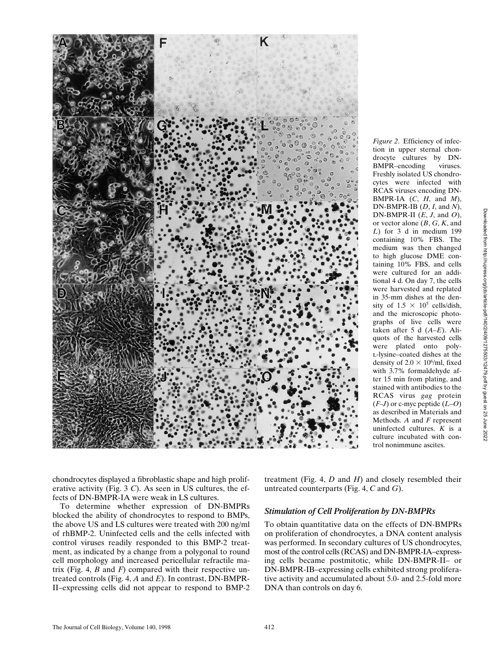

*Figure 2*. Efficiency of infection in upper sternal chondrocyte cultures by DN-BMPR–encoding viruses. Freshly isolated US chondrocytes were infected with RCAS viruses encoding DN-BMPR-IA (*C*, *H*, and *M*), DN-BMPR-IB (*D*, *I*, and *N*), DN-BMPR-II (*E*, *J*, and *O*), or vector alone (*B*, *G*, *K*, and *L*) for 3 d in medium 199 containing 10% FBS. The medium was then changed to high glucose DME containing 10% FBS, and cells were cultured for an additional 4 d. On day 7, the cells were harvested and replated in 35-mm dishes at the density of  $1.5 \times 10^5$  cells/dish, and the microscopic photographs of live cells were taken after 5 d (*A*–*E*). Aliquots of the harvested cells were plated onto polyl-lysine–coated dishes at the density of  $2.0 \times 10^6$ /ml, fixed with 3.7% formaldehyde after 15 min from plating, and stained with antibodies to the RCAS virus *gag* protein (*F*–*J*) or c-myc peptide (*L*–*O*) as described in Materials and Methods. *A* and *F* represent uninfected cultures. *K* is a culture incubated with control nonimmune ascites.

chondrocytes displayed a fibroblastic shape and high proliferative activity (Fig. 3 *C*). As seen in US cultures, the effects of DN-BMPR-IA were weak in LS cultures.

To determine whether expression of DN-BMPRs blocked the ability of chondrocytes to respond to BMPs, the above US and LS cultures were treated with 200 ng/ml of rhBMP-2. Uninfected cells and the cells infected with control viruses readily responded to this BMP-2 treatment, as indicated by a change from a polygonal to round cell morphology and increased pericellular refractile matrix (Fig. 4, *B* and *F*) compared with their respective untreated controls (Fig. 4, *A* and *E*). In contrast, DN-BMPR-II–expressing cells did not appear to respond to BMP-2

treatment (Fig. 4, *D* and *H*) and closely resembled their untreated counterparts (Fig. 4, *C* and *G*).

#### *Stimulation of Cell Proliferation by DN-BMPRs*

To obtain quantitative data on the effects of DN-BMPRs on proliferation of chondrocytes, a DNA content analysis was performed. In secondary cultures of US chondrocytes, most of the control cells (RCAS) and DN-BMPR-IA–expressing cells became postmitotic, while DN-BMPR-II– or DN-BMPR-IB–expressing cells exhibited strong proliferative activity and accumulated about 5.0- and 2.5-fold more DNA than controls on day 6.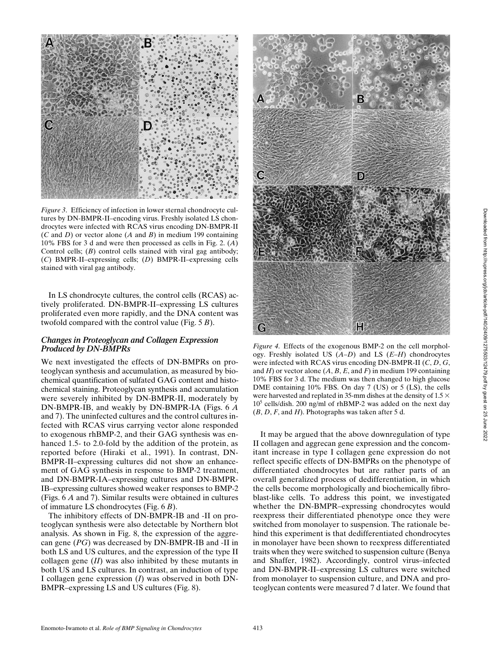

*Figure 3.* Efficiency of infection in lower sternal chondrocyte cultures by DN-BMPR-II–encoding virus. Freshly isolated LS chondrocytes were infected with RCAS virus encoding DN-BMPR-II (*C* and *D*) or vector alone (*A* and *B*) in medium 199 containing 10% FBS for 3 d and were then processed as cells in Fig. 2. (*A*) Control cells; (*B*) control cells stained with viral gag antibody; (*C*) BMPR-II–expressing cells; (*D*) BMPR-II–expressing cells stained with viral gag antibody.

In LS chondrocyte cultures, the control cells (RCAS) actively proliferated. DN-BMPR-II–expressing LS cultures proliferated even more rapidly, and the DNA content was twofold compared with the control value (Fig. 5 *B*).

#### *Changes in Proteoglycan and Collagen Expression Produced by DN-BMPRs*

We next investigated the effects of DN-BMPRs on proteoglycan synthesis and accumulation, as measured by biochemical quantification of sulfated GAG content and histochemical staining. Proteoglycan synthesis and accumulation were severely inhibited by DN-BMPR-II, moderately by DN-BMPR-IB, and weakly by DN-BMPR-IA (Figs. 6 *A* and 7). The uninfected cultures and the control cultures infected with RCAS virus carrying vector alone responded to exogenous rhBMP-2, and their GAG synthesis was enhanced 1.5- to 2.0-fold by the addition of the protein, as reported before (Hiraki et al., 1991). In contrast, DN-BMPR-II–expressing cultures did not show an enhancement of GAG synthesis in response to BMP-2 treatment, and DN-BMPR-IA–expressing cultures and DN-BMPR-IB–expressing cultures showed weaker responses to BMP-2 (Figs. 6 *A* and 7). Similar results were obtained in cultures of immature LS chondrocytes (Fig. 6 *B*).

The inhibitory effects of DN-BMPR-IB and -II on proteoglycan synthesis were also detectable by Northern blot analysis. As shown in Fig. 8, the expression of the aggrecan gene (*PG*) was decreased by DN-BMPR-IB and -II in both LS and US cultures, and the expression of the type II collagen gene (*II*) was also inhibited by these mutants in both US and LS cultures. In contrast, an induction of type I collagen gene expression (*I*) was observed in both DN-BMPR–expressing LS and US cultures (Fig. 8).



*Figure 4*. Effects of the exogenous BMP-2 on the cell morphology. Freshly isolated US (*A*–*D*) and LS (*E*–*H*) chondrocytes were infected with RCAS virus encoding DN-BMPR-II (*C*, *D*, *G*, and  $H$ ) or vector alone  $(A, B, E, \text{ and } F)$  in medium 199 containing 10% FBS for 3 d. The medium was then changed to high glucose DME containing 10% FBS. On day 7 (US) or 5 (LS), the cells were harvested and replated in 35-mm dishes at the density of  $1.5 \times$ 105 cells/dish. 200 ng/ml of rhBMP-2 was added on the next day (*B*, *D*, *F*, and *H*). Photographs was taken after 5 d.

It may be argued that the above downregulation of type II collagen and aggrecan gene expression and the concomitant increase in type I collagen gene expression do not reflect specific effects of DN-BMPRs on the phenotype of differentiated chondrocytes but are rather parts of an overall generalized process of dedifferentiation, in which the cells become morphologically and biochemically fibroblast-like cells. To address this point, we investigated whether the DN-BMPR–expressing chondrocytes would reexpress their differentiated phenotype once they were switched from monolayer to suspension. The rationale behind this experiment is that dedifferentiated chondrocytes in monolayer have been shown to reexpress differentiated traits when they were switched to suspension culture (Benya and Shaffer, 1982). Accordingly, control virus–infected and DN-BMPR-II–expressing LS cultures were switched from monolayer to suspension culture, and DNA and proteoglycan contents were measured 7 d later. We found that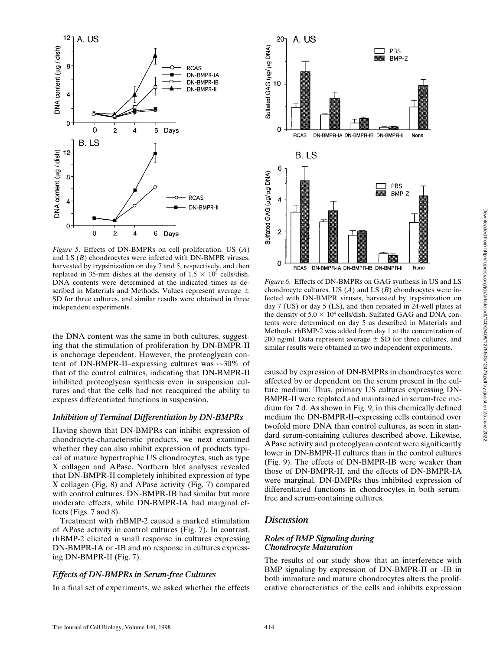

*Figure 5*. Effects of DN-BMPRs on cell proliferation. US (*A*) and LS (*B*) chondrocytes were infected with DN-BMPR viruses, harvested by trypsinization on day 7 and 5, respectively, and then replated in 35-mm dishes at the density of  $1.5 \times 10^5$  cells/dish. DNA contents were determined at the indicated times as described in Materials and Methods. Values represent average  $\pm$ SD for three cultures, and similar results were obtained in three independent experiments.

the DNA content was the same in both cultures, suggesting that the stimulation of proliferation by DN-BMPR-II is anchorage dependent. However, the proteoglycan content of DN-BMPR-II–expressing cultures was  $\sim$ 30% of that of the control cultures, indicating that DN-BMPR-II inhibited proteoglycan synthesis even in suspension cultures and that the cells had not reacquired the ability to express differentiated functions in suspension.

#### *Inhibition of Terminal Differentiation by DN-BMPRs*

Having shown that DN-BMPRs can inhibit expression of chondrocyte-characteristic products, we next examined whether they can also inhibit expression of products typical of mature hypertrophic US chondrocytes, such as type X collagen and APase. Northern blot analyses revealed that DN-BMPR-II completely inhibited expression of type X collagen (Fig. 8) and APase activity (Fig. 7) compared with control cultures. DN-BMPR-IB had similar but more moderate effects, while DN-BMPR-IA had marginal effects (Figs. 7 and 8).

Treatment with rhBMP-2 caused a marked stimulation of APase activity in control cultures (Fig. 7). In contrast, rhBMP-2 elicited a small response in cultures expressing DN-BMPR-IA or -IB and no response in cultures expressing DN-BMPR-II (Fig. 7).

#### *Effects of DN-BMPRs in Serum-free Cultures*

In a final set of experiments, we asked whether the effects



*Figure 6*. Effects of DN-BMPRs on GAG synthesis in US and LS chondrocyte cultures. US (*A*) and LS (*B*) chondrocytes were infected with DN-BMPR viruses, harvested by trypsinization on day 7 (US) or day 5 (LS), and then replated in 24-well plates at the density of  $5.0 \times 10^4$  cells/dish. Sulfated GAG and DNA contents were determined on day 5 as described in Materials and Methods. rhBMP-2 was added from day 1 at the concentration of 200 ng/ml. Data represent average  $\pm$  SD for three cultures, and similar results were obtained in two independent experiments.

caused by expression of DN-BMPRs in chondrocytes were affected by or dependent on the serum present in the culture medium. Thus, primary US cultures expressing DN-BMPR-II were replated and maintained in serum-free medium for 7 d. As shown in Fig. 9, in this chemically defined medium the DN-BMPR-II–expressing cells contained over twofold more DNA than control cultures, as seen in standard serum-containing cultures described above. Likewise, APase activity and proteoglycan content were significantly lower in DN-BMPR-II cultures than in the control cultures (Fig. 9). The effects of DN-BMPR-IB were weaker than those of DN-BMPR-II, and the effects of DN-BMPR-IA were marginal. DN-BMPRs thus inhibited expression of differentiated functions in chondrocytes in both serumfree and serum-containing cultures.

## *Discussion*

## *Roles of BMP Signaling during Chondrocyte Maturation*

The results of our study show that an interference with BMP signaling by expression of DN-BMPR-II or -IB in both immature and mature chondrocytes alters the proliferative characteristics of the cells and inhibits expression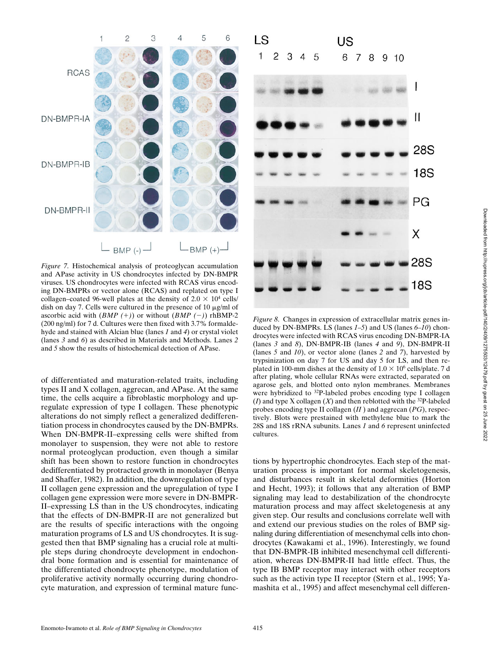

*Figure 7*. Histochemical analysis of proteoglycan accumulation and APase activity in US chondrocytes infected by DN-BMPR viruses. US chondrocytes were infected with RCAS virus encoding DN-BMPRs or vector alone (RCAS) and replated on type I collagen–coated 96-well plates at the density of  $2.0 \times 10^4$  cells/ dish on day 7. Cells were cultured in the presence of 10  $\mu$ g/ml of ascorbic acid with  $(BMP (+))$  or without  $(BMP (-))$  rhBMP-2 (200 ng/ml) for 7 d. Cultures were then fixed with 3.7% formaldehyde and stained with Alcian blue (lanes *1* and *4*) or crystal violet (lanes *3* and *6*) as described in Materials and Methods. Lanes *2* and *5* show the results of histochemical detection of APase.

of differentiated and maturation-related traits, including types II and X collagen, aggrecan, and APase. At the same time, the cells acquire a fibroblastic morphology and upregulate expression of type I collagen. These phenotypic alterations do not simply reflect a generalized dedifferentiation process in chondrocytes caused by the DN-BMPRs. When DN-BMPR-II–expressing cells were shifted from monolayer to suspension, they were not able to restore normal proteoglycan production, even though a similar shift has been shown to restore function in chondrocytes dedifferentiated by protracted growth in monolayer (Benya and Shaffer, 1982). In addition, the downregulation of type II collagen gene expression and the upregulation of type I collagen gene expression were more severe in DN-BMPR-II–expressing LS than in the US chondrocytes, indicating that the effects of DN-BMPR-II are not generalized but are the results of specific interactions with the ongoing maturation programs of LS and US chondrocytes. It is suggested then that BMP signaling has a crucial role at multiple steps during chondrocyte development in endochondral bone formation and is essential for maintenance of the differentiated chondrocyte phenotype, modulation of proliferative activity normally occurring during chondrocyte maturation, and expression of terminal mature func-



*Figure 8*. Changes in expression of extracellular matrix genes induced by DN-BMPRs. LS (lanes *1*–*5*) and US (lanes *6*–*10*) chondrocytes were infected with RCAS virus encoding DN-BMPR-IA (lanes *3* and *8*), DN-BMPR-IB (lanes *4* and *9*), DN-BMPR-II (lanes *5* and *10*), or vector alone (lanes *2* and *7*), harvested by trypsinization on day 7 for US and day 5 for LS, and then replated in 100-mm dishes at the density of  $1.0 \times 10^6$  cells/plate. 7 d after plating, whole cellular RNAs were extracted, separated on agarose gels, and blotted onto nylon membranes. Membranes were hybridized to <sup>32</sup>P-labeled probes encoding type I collagen ( $I$ ) and type X collagen ( $X$ ) and then reblotted with the <sup>32</sup>P-labeled probes encoding type II collagen (*II* ) and aggrecan (*PG*), respectively. Blots were prestained with methylene blue to mark the 28S and 18S rRNA subunits. Lanes *1* and *6* represent uninfected cultures.

tions by hypertrophic chondrocytes. Each step of the maturation process is important for normal skeletogenesis, and disturbances result in skeletal deformities (Horton and Hecht, 1993); it follows that any alteration of BMP signaling may lead to destabilization of the chondrocyte maturation process and may affect skeletogenesis at any given step. Our results and conclusions correlate well with and extend our previous studies on the roles of BMP signaling during differentiation of mesenchymal cells into chondrocytes (Kawakami et al., 1996). Interestingly, we found that DN-BMPR-IB inhibited mesenchymal cell differentiation, whereas DN-BMPR-II had little effect. Thus, the type IB BMP receptor may interact with other receptors such as the activin type II receptor (Stern et al., 1995; Yamashita et al., 1995) and affect mesenchymal cell differen-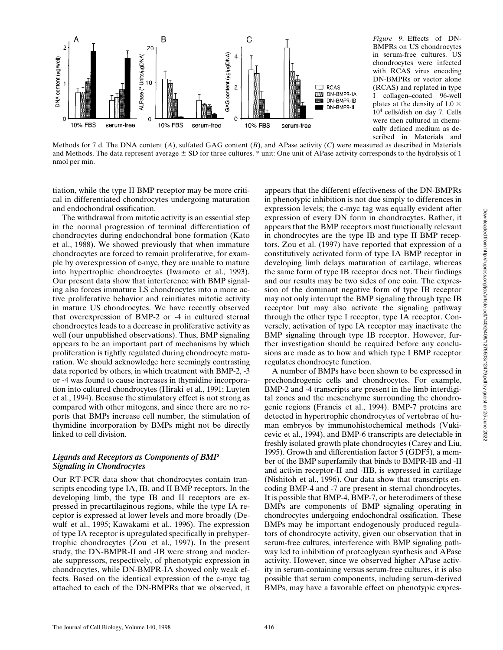

*Figure 9*. Effects of DN-BMPRs on US chondrocytes in serum-free cultures. US chondrocytes were infected with RCAS virus encoding DN-BMPRs or vector alone (RCAS) and replated in type I collagen–coated 96-well plates at the density of 1.0  $\times$ 10<sup>4</sup> cells/dish on day 7. Cells were then cultured in chemically defined medium as described in Materials and

Methods for 7 d. The DNA content  $(A)$ , sulfated GAG content  $(B)$ , and APase activity  $(C)$  were measured as described in Materials and Methods. The data represent average  $\pm$  SD for three cultures. \* unit: One unit of APase activity corresponds to the hydrolysis of 1 nmol per min.

tiation, while the type II BMP receptor may be more critical in differentiated chondrocytes undergoing maturation and endochondral ossification.

 The withdrawal from mitotic activity is an essential step in the normal progression of terminal differentiation of chondrocytes during endochondral bone formation (Kato et al., 1988). We showed previously that when immature chondrocytes are forced to remain proliferative, for example by overexpression of c-myc, they are unable to mature into hypertrophic chondrocytes (Iwamoto et al., 1993). Our present data show that interference with BMP signaling also forces immature LS chondrocytes into a more active proliferative behavior and reinitiates mitotic activity in mature US chondrocytes. We have recently observed that overexpression of BMP-2 or -4 in cultured sternal chondrocytes leads to a decrease in proliferative activity as well (our unpublished observations). Thus, BMP signaling appears to be an important part of mechanisms by which proliferation is tightly regulated during chondrocyte maturation. We should acknowledge here seemingly contrasting data reported by others, in which treatment with BMP-2, -3 or -4 was found to cause increases in thymidine incorporation into cultured chondrocytes (Hiraki et al., 1991; Luyten et al., 1994). Because the stimulatory effect is not strong as compared with other mitogens, and since there are no reports that BMPs increase cell number, the stimulation of thymidine incorporation by BMPs might not be directly linked to cell division.

## *Ligands and Receptors as Components of BMP Signaling in Chondrocytes*

Our RT-PCR data show that chondrocytes contain transcripts encoding type IA, IB, and II BMP receptors. In the developing limb, the type IB and II receptors are expressed in precartilaginous regions, while the type IA receptor is expressed at lower levels and more broadly (Dewulf et al., 1995; Kawakami et al., 1996). The expression of type IA receptor is upregulated specifically in prehypertrophic chondrocytes (Zou et al., 1997). In the present study, the DN-BMPR-II and -IB were strong and moderate suppressors, respectively, of phenotypic expression in chondrocytes, while DN-BMPR-IA showed only weak effects. Based on the identical expression of the c-myc tag attached to each of the DN-BMPRs that we observed, it

appears that the different effectiveness of the DN-BMPRs in phenotypic inhibition is not due simply to differences in expression levels; the c-myc tag was equally evident after expression of every DN form in chondrocytes. Rather, it appears that the BMP receptors most functionally relevant in chondrocytes are the type IB and type II BMP receptors. Zou et al. (1997) have reported that expression of a constitutively activated form of type IA BMP receptor in developing limb delays maturation of cartilage, whereas the same form of type IB receptor does not. Their findings and our results may be two sides of one coin. The expression of the dominant negative form of type IB receptor may not only interrupt the BMP signaling through type IB receptor but may also activate the signaling pathway through the other type I receptor, type IA receptor. Conversely, activation of type IA receptor may inactivate the BMP signaling through type IB receptor. However, further investigation should be required before any conclusions are made as to how and which type I BMP receptor regulates chondrocyte function.

A number of BMPs have been shown to be expressed in prechondrogenic cells and chondrocytes. For example, BMP-2 and -4 transcripts are present in the limb interdigital zones and the mesenchyme surrounding the chondrogenic regions (Francis et al., 1994). BMP-7 proteins are detected in hypertrophic chondrocytes of vertebrae of human embryos by immunohistochemical methods (Vukicevic et al., 1994), and BMP-6 transcripts are detectable in freshly isolated growth plate chondrocytes (Carey and Liu, 1995). Growth and differentiation factor 5 (GDF5), a member of the BMP superfamily that binds to BMPR-IB and -II and activin receptor-II and -IIB, is expressed in cartilage (Nishitoh et al., 1996). Our data show that transcripts encoding BMP-4 and -7 are present in sternal chondrocytes. It is possible that BMP-4, BMP-7, or heterodimers of these BMPs are components of BMP signaling operating in chondrocytes undergoing endochondral ossification. These BMPs may be important endogenously produced regulators of chondrocyte activity, given our observation that in serum-free cultures, interference with BMP signaling pathway led to inhibition of proteoglycan synthesis and APase activity. However, since we observed higher APase activity in serum-containing versus serum-free cultures, it is also possible that serum components, including serum-derived BMPs, may have a favorable effect on phenotypic expres-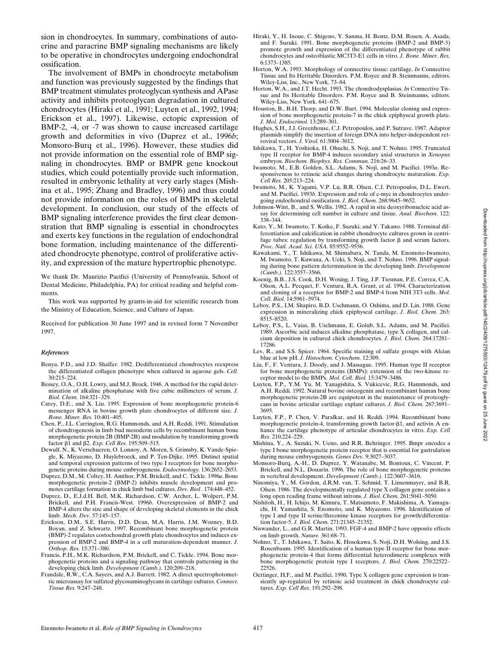sion in chondrocytes. In summary, combinations of autocrine and paracrine BMP signaling mechanisms are likely to be operative in chondrocytes undergoing endochondral ossification.

The involvement of BMPs in chondrocyte metabolism and function was previously suggested by the findings that BMP treatment stimulates proteoglycan synthesis and APase activity and inhibits proteoglycan degradation in cultured chondrocytes (Hiraki et al., 1991; Luyten et al., 1992, 1994; Erickson et al., 1997). Likewise, ectopic expression of BMP-2, -4, or -7 was shown to cause increased cartilage growth and deformities in vivo (Duprez et al., 1996*b*; Monsoro-Burq et al., 1996). However, these studies did not provide information on the essential role of BMP signaling in chondrocytes. BMP or BMPR gene knockout studies, which could potentially provide such information, resulted in embryonic lethality at very early stages (Mishina et al., 1995; Zhang and Bradley, 1996) and thus could not provide information on the roles of BMPs in skeletal development. In conclusion, our study of the effects of BMP signaling interference provides the first clear demonstration that BMP signaling is essential in chondrocytes and exerts key functions in the regulation of endochondral bone formation, including maintenance of the differentiated chondrocyte phenotype, control of proliferative activity, and expression of the mature hypertrophic phenotype.

We thank Dr. Maurizio Pacifici (University of Pennsylvania, School of Dental Medicine, Philadelphia, PA) for critical reading and helpful comments.

This work was supported by grants-in-aid for scientific research from the Ministry of Education, Science, and Culture of Japan.

Received for publication 30 June 1997 and in revised form 7 November 1997.

#### *References*

- Benya, P.D., and J.D. Shaffer. 1982. Dedifferentiated chondrocytes reexpress the differentiated collagen phenotype when cultured in agarose gels. *Cell.* 30:215–224.
- Bessey, O.A., O.H. Lowry, and M.J. Brock. 1946. A method for the rapid determination of alkaline phosphatase with five cubic millimeters of serum. *J. Biol. Chem.* 164:321–329.
- Carey, D.E., and X. Liu. 1995. Expression of bone morphogenetic protein-6 messenger RNA in bovine growth plate chondrocytes of different size. *J. Bone. Miner. Res.* 10:401–405.
- Chen, P., J.L. Carrington, R.G. Hammonds, and A.H. Reddi. 1991. Stimulation of chondrogenesis in limb bud mesoderm cells by recombinant human bone morphogenetic protein 2B (BMP-2B) and modulation by transforming growth factor b1 and b2. *Exp. Cell Res.* 195:509–515.
- Dewulf, N., K. Verschueren, O. Lonnoy, A. Moren, S. Grimsby, K. Vande-Spiegle, K. Miyazono, D. Huylebroeck, and P. Ten-Dijke. 1995. Distinct spatial and temporal expression patterns of two type I receptors for bone morphogenetic proteins during mouse embryogenesis. *Endocrinology.* 136:2652–2653.
- Duprez, D.M., M. Coltey, H. Amthor, P.M. Brickell, and C. Tickle. 1996*a*. Bone morphogenetic protein-2 (BMP-2) inhibits muscle development and promotes cartilage formation in chick limb bud cultures. *Dev. Biol .* 174:448–452.
- Duprez, D., E.J.d.H. Bell, M.K. Richardson, C.W. Archer, L. Wolpert, P.M. Brickell, and P.H. Francis-West. 1996*b*. Overexpression of BMP-2 and BMP-4 alters the size and shape of developing skeletal elements in the chick limb. *Mech. Dev.* 57:145–157.
- Erickson, D.M., S.E. Harris, D.D. Dean, M.A. Harris, J.M. Wozney, B.D. Boyan, and Z. Schwartz. 1997. Recombinant bone morphogenetic protein (BMP)-2 regulates costochondral growth plate chondrocytes and induces expression of BMP-2 and BMP-4 in a cell maturation-dependent manner. *J. Orthop. Res.* 15:371–380.
- Francis, P.H., M.K. Richardson, P.M. Brickell, and C. Tickle. 1994. Bone morphogenetic proteins and a signaling pathway that controls patterning in the developing chick limb. *Development (Camb.).* 120:209–218.
- Frandale, R.W., C.A. Sayers, and A.J. Barrett. 1982. A direct spectrophotometric microassay for sulfated glycosaminoglycans in cartilage cultures. *Connect. Tissue Res.* 9:247–248.
- Hiraki, Y., H. Inoue, C. Shigeno, Y. Sanma, H. Bentz, D.M. Rosen, A. Asada, and F. Suzuki. 1991. Bone morphogenetic proteins (BMP-2 and BMP-3) promote growth and expression of the differentiated phenotype of rabbit chondrocytes and osteoblastic MC3T3-E1 cells in vitro. *J. Bone. Miner. Res.* 6:1373–1385.
- Horton, W.A. 1993. Morphology of connective tissue: cartilage. *In* Connective Tissue and Its Heritable Disorders. P.M. Royce and B. Steinmanns, editors. Wiley-Liss, Inc., New York. 73–84.
- Horton, W.A., and J.T. Hecht. 1993. The chondrodysplasias. *In* Connective Tissue and Its Heritable Disorders. P.M. Royce and B. Steinmanns, editors. Wiley-Liss, New York. 641–675.
- Houston, B., B.H. Thorp, and D.W. Burt. 1994. Molecular cloning and expression of bone morphogenetic protein-7 in the chick epiphyseal growth plate. *J. Mol. Endocrinol.* 13:289–301.
- Hughes, S.H., J.J. Greenhouse, C.J. Petropoulos, and P. Sutrave. 1987. Adaptor plasmids simplify the insertion of foreign DNA into helper-independent retroviral vectors. *J. Virol.* 61:3004–3012.
- Ishikawa, T., H. Yoshioka, H. Ohuchi, S. Noji, and T. Nohno. 1995. Truncated type II receptor for BMP-4 induces secondary axial structures in *Xenopus* embryos. *Biochem. Biophys. Res. Commun.* 216:26–33.
- Iwamoto, M., E.B. Golden, S.L. Adams, S. Noji, and M. Pacifici. 1993*a*. Responsiveness to retinoic acid changes during chondrocyte maturation. *Exp. Cell Res.* 205:213–224.
- Iwamoto, M., K. Yagami, V.P. Lu, B.R. Olsen, C.J. Petropoulos, D.L. Ewert, and M. Pacifici. 1993*b*. Expression and role of c-myc in chondrocytes undergoing endochondral ossification. *J. Biol. Chem.* 268:9645–9652.
- Johnson-Wint, B., and S. Wellis. 1982. A rapid in situ deoxyribonucleic acid assay for determining cell number in culture and tissue. *Anal. Biochem.* 122: 338–344.
- Kato, Y., M. Iwamoto, T. Koike, F. Suzuki, and Y. Takano. 1988. Terminal differentiation and calcification in rabbit chondrocyte cultures grown in centrifuge tubes: regulation by transforming growth factor  $\beta$  and serum factors. *Proc. Natl. Acad. Sci. USA.* 85:9552–9556.
- Kawakami, Y., T. Ishikawa, M. Shimabara, N. Tanda, M. Enomoto-Iwamoto, M. Iwamoto, T. Kuwana, A. Ueki, S. Noji, and T. Nohno. 1996. BMP signaling during bone pattern determination in the developing limb. *Development (Camb.).* 122:3557–3566.
- Koenig, B.B., J.S. Cook, D.H. Wosing, J. Ting, J.P. Tiesman, P.E. Correa, C.A. Olson, A.L. Pecquet, F. Ventura, R.A. Grant, et al. 1994. Characterization and cloning of a receptor for BMP-2 and BMP-4 from NIH 3T3 cells. *Mol. Cell. Biol.* 14:5961–5974.
- Leboy, P.S., I.M. Shapiro, B.D. Uschmann, O. Oshima, and D. Lin. 1988. Gene expression in mineralizing chick epiphyseal cartilage. *J. Biol. Chem.* 263: 8515–8520.
- Leboy, P.S., L. Vaias, B. Uschmann, E. Golub, S.L. Adams, and M. Pacifici. 1989. Ascorbic acid induces alkaline phosphatase, type X collagen, and calcium deposition in cultured chick chondrocytes. *J. Biol. Chem.* 264:17281– 17286.
- Lev, R., and S.S. Spicer. 1964. Specific staining of sulfate groups with Alcian blue at low pH. *J. Histochem. Cytochem.* 12:309.
- Liu, F., F. Ventura, J. Doody, and J. Massague. 1995. Human type II receptor for bone morphogenetic proteins (BMPs): extension of the two-kinase receptor model to the BMPs. *Mol. Cell. Biol.* 15:3479–3486.
- Luyten, F.P., Y.M. Yu, M. Yanagishita, S. Vukicevic, R.G. Hammonds, and A.H. Reddi. 1992. Natural bovine osteogenin and recombinant human bone morphogenetic protein-2B are equipotent in the maintenance of proteoglycans in bovine articular cartilage explant cultures. *J. Biol. Chem.* 267:3691– 3695.
- Luyten, F.P., P. Chen, V. Paralkar, and H. Reddi. 1994. Recombinant bone morphogenetic protein-4, transforming growth factor- $\beta$ 1, and activin A enhance the cartilage phenotype of articular chondrocytes in vitro. *Exp. Cell Res.* 210:224–229.
- Mishina, Y., A. Suzuki, N. Ueno, and R.R. Behringer. 1995. Bmpr encodes a type I bone morphogenetic protein receptor that is essential for gastrulation during mouse embryogenesis. *Genes Dev.* 9:3027–3037.
- Monsoro-Burq, A.-H., D. Duprez, Y. Watanabe, M. Bontoux, C. Vincent, P. Brickell, and N.L. Douarin. 1996. The role of bone morphogenetic proteins in vertebral development. *Development (Camb.).* 122:3607–3616.
- Ninomiya, Y., M. Gordon, d.R.M. van, T. Schmid, T. Linsenmayer, and B.R. Olsen. 1986. The developmentally regulated type X collagen gene contains a long open reading frame without introns. *J. Biol. Chem.* 261:5041–5050.
- Nishitoh, H., H. Ichijo, M. Kimura, T. Matsumoto, F. Makishima, A. Yamaguchi, H. Yamashita, S. Enomoto, and K. Miyazono. 1996. Identification of type I and type II serine/threonine kinase receptors for growth/differentiation factor-5. *J. Biol. Chem.* 271:21345–21352.
- Niswander, L., and G.R. Martin. 1993. FGF-4 and BMP-2 have opposite effects on limb growth. *Nature.* 361:68–71.
- Nohno, T., T. Ishikawa, T. Saito, K. Hosokawa, S. Noji, D.H. Wolsing, and J.S. Rosenbaum. 1995. Identification of a human type II receptor for bone morphogenetic protein-4 that forms differential heterodimeric complexes with bone morphogenetic protein type I receptors. *J. Biol. Chem.* 270:22522– 22526.
- Oettinger, H.F., and M. Pacifici. 1990. Type X collagen gene expression is transiently up-regulated by retinoic acid treatment in chick chondrocyte cultures. *Exp. Cell Res.* 191:292–298.